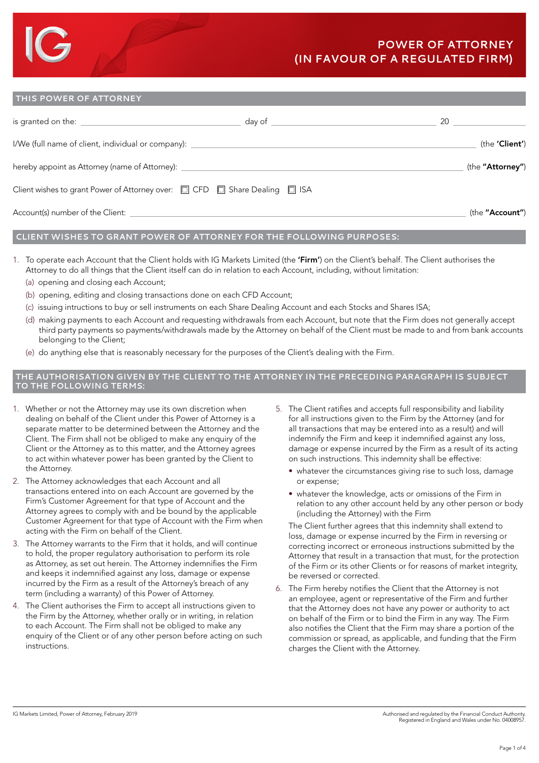#### **THIS POWER OF ATTORNEY**

| is granted on the: <u>with the series of the series of the series of</u>                           | day of | 20               |
|----------------------------------------------------------------------------------------------------|--------|------------------|
| I/We (full name of client, individual or company):                                                 |        | (the 'Client')   |
| hereby appoint as Attorney (name of Attorney):                                                     |        | (the "Attorney") |
| Client wishes to grant Power of Attorney over: $\square$ CFD $\square$ Share Dealing $\square$ ISA |        |                  |
| Account(s) number of the Client:                                                                   |        | (the "Account")  |

### **CLIENT WISHES TO GRANT POWER OF ATTORNEY FOR THE FOLLOWING PURPOSES:**

- 1. To operate each Account that the Client holds with IG Markets Limited (the 'Firm') on the Client's behalf. The Client authorises the Attorney to do all things that the Client itself can do in relation to each Account, including, without limitation:
	- (a) opening and closing each Account;
	- (b) opening, editing and closing transactions done on each CFD Account;
	- (c) issuing intructions to buy or sell instruments on each Share Dealing Account and each Stocks and Shares ISA;
	- (d) making payments to each Account and requesting withdrawals from each Account, but note that the Firm does not generally accept third party payments so payments/withdrawals made by the Attorney on behalf of the Client must be made to and from bank accounts belonging to the Client;
	- (e) do anything else that is reasonably necessary for the purposes of the Client's dealing with the Firm.

#### **THE AUTHORISATION GIVEN BY THE CLIENT TO THE ATTORNEY IN THE PRECEDING PARAGRAPH IS SUBJECT TO THE FOLLOWING TERMS:**

- 1. Whether or not the Attorney may use its own discretion when dealing on behalf of the Client under this Power of Attorney is a separate matter to be determined between the Attorney and the Client. The Firm shall not be obliged to make any enquiry of the Client or the Attorney as to this matter, and the Attorney agrees to act within whatever power has been granted by the Client to the Attorney.
- 2. The Attorney acknowledges that each Account and all transactions entered into on each Account are governed by the Firm's Customer Agreement for that type of Account and the Attorney agrees to comply with and be bound by the applicable Customer Agreement for that type of Account with the Firm when acting with the Firm on behalf of the Client.
- 3. The Attorney warrants to the Firm that it holds, and will continue to hold, the proper regulatory authorisation to perform its role as Attorney, as set out herein. The Attorney indemnifies the Firm and keeps it indemnified against any loss, damage or expense incurred by the Firm as a result of the Attorney's breach of any term (including a warranty) of this Power of Attorney.
- 4. The Client authorises the Firm to accept all instructions given to the Firm by the Attorney, whether orally or in writing, in relation to each Account. The Firm shall not be obliged to make any enquiry of the Client or of any other person before acting on such instructions.
- 5. The Client ratifies and accepts full responsibility and liability for all instructions given to the Firm by the Attorney (and for all transactions that may be entered into as a result) and will indemnify the Firm and keep it indemnified against any loss, damage or expense incurred by the Firm as a result of its acting on such instructions. This indemnity shall be effective:
	- whatever the circumstances giving rise to such loss, damage or expense;
	- whatever the knowledge, acts or omissions of the Firm in relation to any other account held by any other person or body (including the Attorney) with the Firm

 The Client further agrees that this indemnity shall extend to loss, damage or expense incurred by the Firm in reversing or correcting incorrect or erroneous instructions submitted by the Attorney that result in a transaction that must, for the protection of the Firm or its other Clients or for reasons of market integrity, be reversed or corrected.

6. The Firm hereby notifies the Client that the Attorney is not an employee, agent or representative of the Firm and further that the Attorney does not have any power or authority to act on behalf of the Firm or to bind the Firm in any way. The Firm also notifies the Client that the Firm may share a portion of the commission or spread, as applicable, and funding that the Firm charges the Client with the Attorney.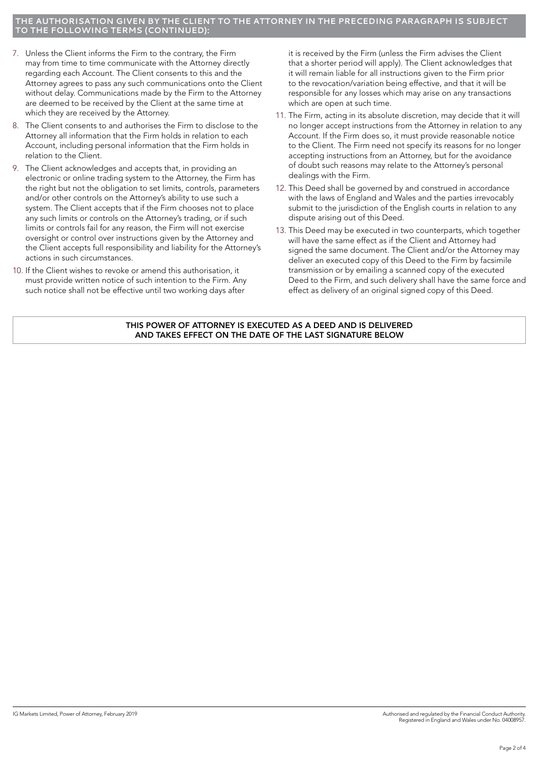#### **THE AUTHORISATION GIVEN BY THE CLIENT TO THE ATTORNEY IN THE PRECEDING PARAGRAPH IS SUBJECT THE FOLLOWING TERMS (CONTINUED):**

- 7. Unless the Client informs the Firm to the contrary, the Firm may from time to time communicate with the Attorney directly regarding each Account. The Client consents to this and the Attorney agrees to pass any such communications onto the Client without delay. Communications made by the Firm to the Attorney are deemed to be received by the Client at the same time at which they are received by the Attorney.
- 8. The Client consents to and authorises the Firm to disclose to the Attorney all information that the Firm holds in relation to each Account, including personal information that the Firm holds in relation to the Client.
- 9. The Client acknowledges and accepts that, in providing an electronic or online trading system to the Attorney, the Firm has the right but not the obligation to set limits, controls, parameters and/or other controls on the Attorney's ability to use such a system. The Client accepts that if the Firm chooses not to place any such limits or controls on the Attorney's trading, or if such limits or controls fail for any reason, the Firm will not exercise oversight or control over instructions given by the Attorney and the Client accepts full responsibility and liability for the Attorney's actions in such circumstances.
- 10. If the Client wishes to revoke or amend this authorisation, it must provide written notice of such intention to the Firm. Any such notice shall not be effective until two working days after

it is received by the Firm (unless the Firm advises the Client that a shorter period will apply). The Client acknowledges that it will remain liable for all instructions given to the Firm prior to the revocation/variation being effective, and that it will be responsible for any losses which may arise on any transactions which are open at such time.

- 11. The Firm, acting in its absolute discretion, may decide that it will no longer accept instructions from the Attorney in relation to any Account. If the Firm does so, it must provide reasonable notice to the Client. The Firm need not specify its reasons for no longer accepting instructions from an Attorney, but for the avoidance of doubt such reasons may relate to the Attorney's personal dealings with the Firm.
- 12. This Deed shall be governed by and construed in accordance with the laws of England and Wales and the parties irrevocably submit to the jurisdiction of the English courts in relation to any dispute arising out of this Deed.
- 13. This Deed may be executed in two counterparts, which together will have the same effect as if the Client and Attorney had signed the same document. The Client and/or the Attorney may deliver an executed copy of this Deed to the Firm by facsimile transmission or by emailing a scanned copy of the executed Deed to the Firm, and such delivery shall have the same force and effect as delivery of an original signed copy of this Deed.

THIS POWER OF ATTORNEY IS EXECUTED AS A DEED AND IS DELIVERED AND TAKES EFFECT ON THE DATE OF THE LAST SIGNATURE BELOW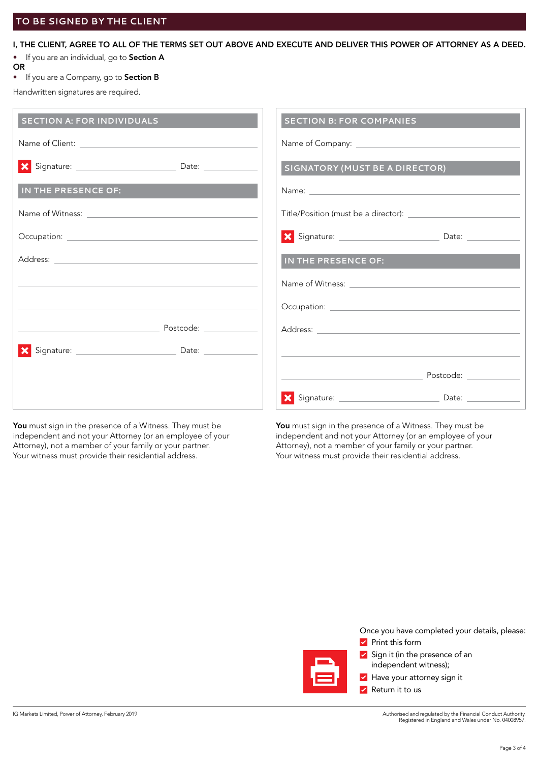## I, THE CLIENT, AGREE TO ALL OF THE TERMS SET OUT ABOVE AND EXECUTE AND DELIVER THIS POWER OF ATTORNEY AS A DEED.

- If you are an individual, go to Section A
- **OR**
- If you are a Company, go to Section B

Handwritten signatures are required.

| <b>SECTION A: FOR INDIVIDUALS</b> | <b>SECTION B: FOR COMPANIES</b>       |
|-----------------------------------|---------------------------------------|
|                                   |                                       |
|                                   | <b>SIGNATORY (MUST BE A DIRECTOR)</b> |
| IN THE PRESENCE OF:               |                                       |
|                                   |                                       |
|                                   |                                       |
|                                   | IN THE PRESENCE OF:                   |
|                                   |                                       |
|                                   |                                       |
| Postcode: ____________            |                                       |
|                                   |                                       |
|                                   |                                       |
|                                   |                                       |

You must sign in the presence of a Witness. They must be independent and not your Attorney (or an employee of your Attorney), not a member of your family or your partner. Your witness must provide their residential address.

You must sign in the presence of a Witness. They must be independent and not your Attorney (or an employee of your Attorney), not a member of your family or your partner. Your witness must provide their residential address.

Once you have completed your details, please:

**Print this form** 



**Have your attorney sign it** 

**V** Return it to us

Authorised and regulated by the Financial Conduct Authority. Registered in England and Wales under No. 04008957.